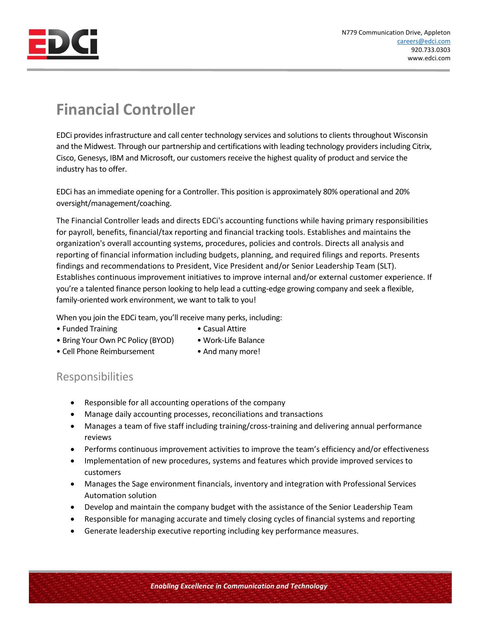

## **Financial Controller**

EDCi provides infrastructure and call center technology services and solutions to clients throughout Wisconsin and the Midwest. Through our partnership and certifications with leading technology providers including Citrix, Cisco, Genesys, IBM and Microsoft, our customers receive the highest quality of product and service the industry has to offer.

EDCi has an immediate opening for a Controller. This position is approximately 80% operational and 20% oversight/management/coaching.

The Financial Controller leads and directs EDCi's accounting functions while having primary responsibilities for payroll, benefits, financial/tax reporting and financial tracking tools. Establishes and maintains the organization's overall accounting systems, procedures, policies and controls. Directs all analysis and reporting of financial information including budgets, planning, and required filings and reports. Presents findings and recommendations to President, Vice President and/or Senior Leadership Team (SLT). Establishes continuous improvement initiatives to improve internal and/or external customer experience. If you're a talented finance person looking to help lead a cutting-edge growing company and seek a flexible, family-oriented work environment, we want to talk to you!

When you join the EDCi team, you'll receive many perks, including:

- Funded Training  **Casual Attire**
- 
- Bring Your Own PC Policy (BYOD) Work-Life Balance
	-
- Cell Phone Reimbursement And many more!
- 

## Responsibilities

- Responsible for all accounting operations of the company
- Manage daily accounting processes, reconciliations and transactions
- Manages a team of five staff including training/cross-training and delivering annual performance reviews
- Performs continuous improvement activities to improve the team's efficiency and/or effectiveness
- Implementation of new procedures, systems and features which provide improved services to customers
- Manages the Sage environment financials, inventory and integration with Professional Services Automation solution
- Develop and maintain the company budget with the assistance of the Senior Leadership Team
- Responsible for managing accurate and timely closing cycles of financial systems and reporting
- Generate leadership executive reporting including key performance measures.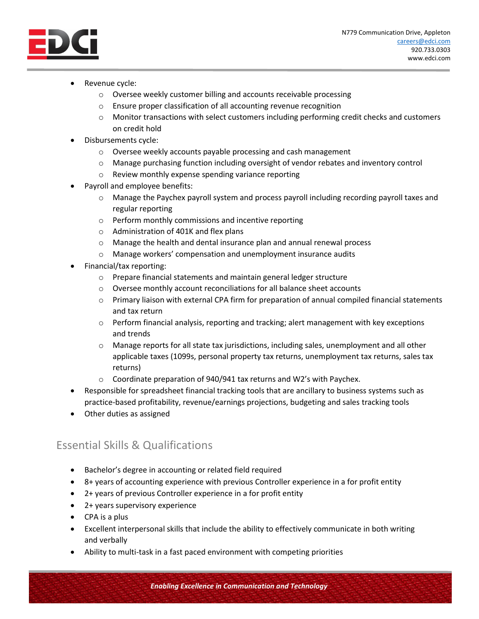

- Revenue cycle:
	- o Oversee weekly customer billing and accounts receivable processing
	- o Ensure proper classification of all accounting revenue recognition
	- $\circ$  Monitor transactions with select customers including performing credit checks and customers on credit hold
- Disbursements cycle:
	- o Oversee weekly accounts payable processing and cash management
	- o Manage purchasing function including oversight of vendor rebates and inventory control
	- o Review monthly expense spending variance reporting
- Payroll and employee benefits:
	- $\circ$  Manage the Paychex payroll system and process payroll including recording payroll taxes and regular reporting
	- o Perform monthly commissions and incentive reporting
	- o Administration of 401K and flex plans
	- $\circ$  Manage the health and dental insurance plan and annual renewal process
	- o Manage workers' compensation and unemployment insurance audits
- Financial/tax reporting:
	- o Prepare financial statements and maintain general ledger structure
	- o Oversee monthly account reconciliations for all balance sheet accounts
	- o Primary liaison with external CPA firm for preparation of annual compiled financial statements and tax return
	- o Perform financial analysis, reporting and tracking; alert management with key exceptions and trends
	- o Manage reports for all state tax jurisdictions, including sales, unemployment and all other applicable taxes (1099s, personal property tax returns, unemployment tax returns, sales tax returns)
	- o Coordinate preparation of 940/941 tax returns and W2's with Paychex.
- Responsible for spreadsheet financial tracking tools that are ancillary to business systems such as practice-based profitability, revenue/earnings projections, budgeting and sales tracking tools
- Other duties as assigned

## Essential Skills & Qualifications

- Bachelor's degree in accounting or related field required
- 8+ years of accounting experience with previous Controller experience in a for profit entity
- 2+ years of previous Controller experience in a for profit entity
- 2+ years supervisory experience
- CPA is a plus
- Excellent interpersonal skills that include the ability to effectively communicate in both writing and verbally
- Ability to multi-task in a fast paced environment with competing priorities